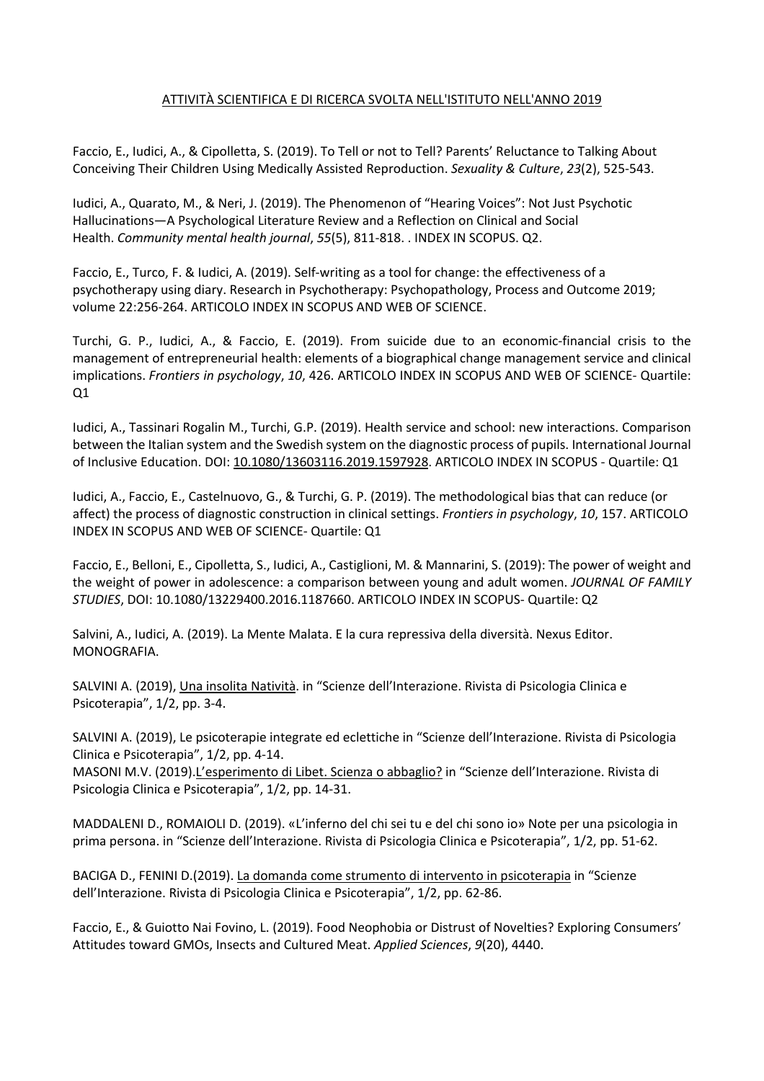## ATTIVITÀ SCIENTIFICA E DI RICERCA SVOLTA NELL'ISTITUTO NELL'ANNO 2019

Faccio, E., Iudici, A., & Cipolletta, S. (2019). To Tell or not to Tell? Parents' Reluctance to Talking About Conceiving Their Children Using Medically Assisted Reproduction. *Sexuality & Culture*, *23*(2), 525-543.

Iudici, A., Quarato, M., & Neri, J. (2019). The Phenomenon of "Hearing Voices": Not Just Psychotic Hallucinations—A Psychological Literature Review and a Reflection on Clinical and Social Health. *Community mental health journal*, *55*(5), 811-818. . INDEX IN SCOPUS. Q2.

Faccio, E., Turco, F. & Iudici, A. (2019). Self-writing as a tool for change: the effectiveness of a psychotherapy using diary. Research in Psychotherapy: Psychopathology, Process and Outcome 2019; volume 22:256-264. ARTICOLO INDEX IN SCOPUS AND WEB OF SCIENCE.

Turchi, G. P., Iudici, A., & Faccio, E. (2019). From suicide due to an economic-financial crisis to the management of entrepreneurial health: elements of a biographical change management service and clinical implications. *Frontiers in psychology*, *10*, 426. ARTICOLO INDEX IN SCOPUS AND WEB OF SCIENCE- Quartile: Q1

Iudici, A., Tassinari Rogalin M., Turchi, G.P. (2019). Health service and school: new interactions. Comparison between the Italian system and the Swedish system on the diagnostic process of pupils. International Journal of Inclusive Education. DOI: 10.1080/13603116.2019.1597928. ARTICOLO INDEX IN SCOPUS - Quartile: Q1

Iudici, A., Faccio, E., Castelnuovo, G., & Turchi, G. P. (2019). The methodological bias that can reduce (or affect) the process of diagnostic construction in clinical settings. *Frontiers in psychology*, *10*, 157. ARTICOLO INDEX IN SCOPUS AND WEB OF SCIENCE- Quartile: Q1

Faccio, E., Belloni, E., Cipolletta, S., Iudici, A., Castiglioni, M. & Mannarini, S. (2019): The power of weight and the weight of power in adolescence: a comparison between young and adult women. *JOURNAL OF FAMILY STUDIES*, DOI: 10.1080/13229400.2016.1187660. ARTICOLO INDEX IN SCOPUS- Quartile: Q2

Salvini, A., Iudici, A. (2019). La Mente Malata. E la cura repressiva della diversità. Nexus Editor. MONOGRAFIA.

SALVINI A. (2019), Una insolita Natività. in "Scienze dell'Interazione. Rivista di Psicologia Clinica e Psicoterapia", 1/2, pp. 3-4.

SALVINI A. (2019), Le psicoterapie integrate ed eclettiche in "Scienze dell'Interazione. Rivista di Psicologia Clinica e Psicoterapia", 1/2, pp. 4-14.

MASONI M.V. (2019).L'esperimento di Libet. Scienza o abbaglio? in "Scienze dell'Interazione. Rivista di Psicologia Clinica e Psicoterapia", 1/2, pp. 14-31.

MADDALENI D., ROMAIOLI D. (2019). «L'inferno del chi sei tu e del chi sono io» Note per una psicologia in prima persona. in "Scienze dell'Interazione. Rivista di Psicologia Clinica e Psicoterapia", 1/2, pp. 51-62.

BACIGA D., FENINI D.(2019). La domanda come strumento di intervento in psicoterapia in "Scienze dell'Interazione. Rivista di Psicologia Clinica e Psicoterapia", 1/2, pp. 62-86.

Faccio, E., & Guiotto Nai Fovino, L. (2019). Food Neophobia or Distrust of Novelties? Exploring Consumers' Attitudes toward GMOs, Insects and Cultured Meat. *Applied Sciences*, *9*(20), 4440.